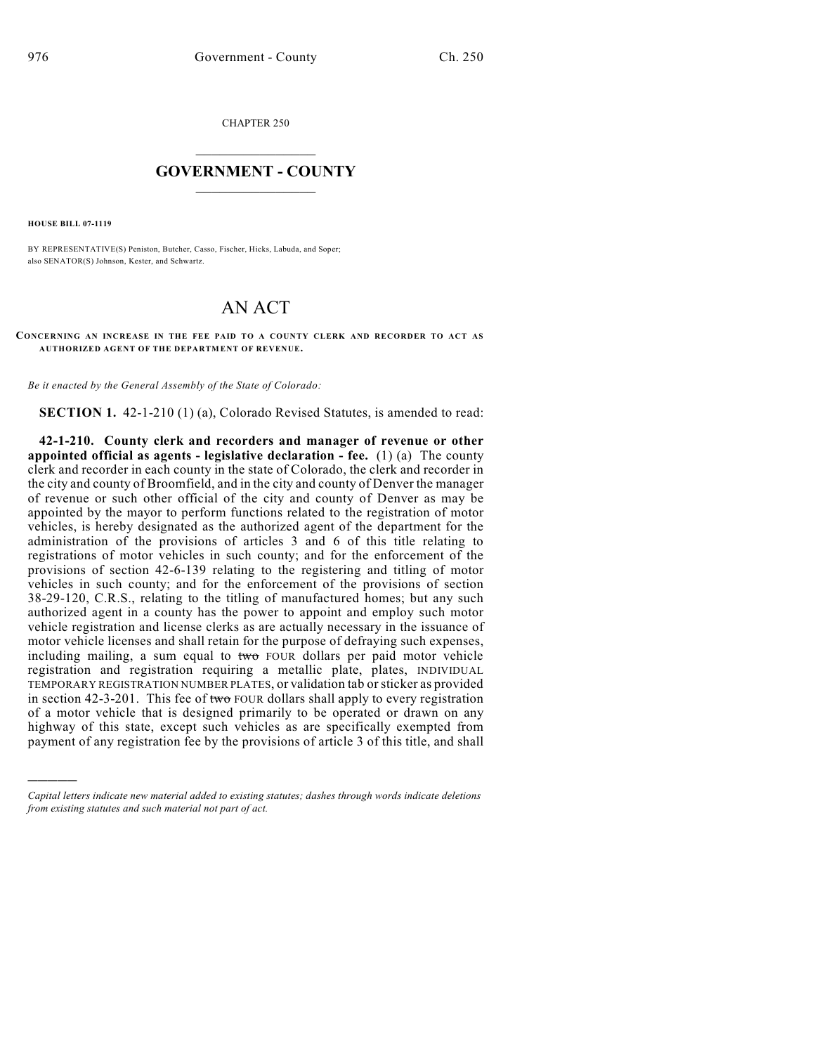CHAPTER 250

## $\overline{\phantom{a}}$  . The set of the set of the set of the set of the set of the set of the set of the set of the set of the set of the set of the set of the set of the set of the set of the set of the set of the set of the set o **GOVERNMENT - COUNTY**  $\_$

**HOUSE BILL 07-1119**

)))))

BY REPRESENTATIVE(S) Peniston, Butcher, Casso, Fischer, Hicks, Labuda, and Soper; also SENATOR(S) Johnson, Kester, and Schwartz.

## AN ACT

**CONCERNING AN INCREASE IN THE FEE PAID TO A COUNTY CLERK AND RECORDER TO ACT AS AUTHORIZED AGENT OF THE DEPARTMENT OF REVENUE.**

*Be it enacted by the General Assembly of the State of Colorado:*

**SECTION 1.** 42-1-210 (1) (a), Colorado Revised Statutes, is amended to read:

**42-1-210. County clerk and recorders and manager of revenue or other appointed official as agents - legislative declaration - fee.** (1) (a) The county clerk and recorder in each county in the state of Colorado, the clerk and recorder in the city and county of Broomfield, and in the city and county of Denver the manager of revenue or such other official of the city and county of Denver as may be appointed by the mayor to perform functions related to the registration of motor vehicles, is hereby designated as the authorized agent of the department for the administration of the provisions of articles 3 and 6 of this title relating to registrations of motor vehicles in such county; and for the enforcement of the provisions of section 42-6-139 relating to the registering and titling of motor vehicles in such county; and for the enforcement of the provisions of section 38-29-120, C.R.S., relating to the titling of manufactured homes; but any such authorized agent in a county has the power to appoint and employ such motor vehicle registration and license clerks as are actually necessary in the issuance of motor vehicle licenses and shall retain for the purpose of defraying such expenses, including mailing, a sum equal to two FOUR dollars per paid motor vehicle registration and registration requiring a metallic plate, plates, INDIVIDUAL TEMPORARY REGISTRATION NUMBER PLATES, or validation tab or sticker as provided in section 42-3-201. This fee of two FOUR dollars shall apply to every registration of a motor vehicle that is designed primarily to be operated or drawn on any highway of this state, except such vehicles as are specifically exempted from payment of any registration fee by the provisions of article 3 of this title, and shall

*Capital letters indicate new material added to existing statutes; dashes through words indicate deletions from existing statutes and such material not part of act.*